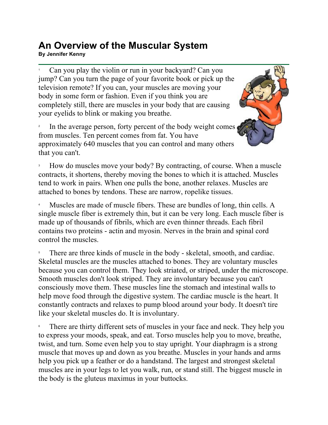## **An Overview of the Muscular System**  ATT OVETVIEW OF LITE IVIUSCUTAT OYSTETTI<br>By Jennifer Kenny

1 Can you play the violin or run in your backyard? Can you jump? Can you turn the page of your favorite book or pick up the television remote? If you can, your muscles are moving your body in some form or fashion. Even if you think you are completely still, there are muscles in your body that are causing your eyelids to blink or making you breathe.

2 In the average person, forty percent of the body weight comes from muscles. Ten percent comes from fat. You have approximately 640 muscles that you can control and many others that you can't.



3 How do muscles move your body? By contracting, of course. When a muscle contracts, it shortens, thereby moving the bones to which it is attached. Muscles tend to work in pairs. When one pulls the bone, another relaxes. Muscles are attached to bones by tendons. These are narrow, ropelike tissues.

4 Muscles are made of muscle fibers. These are bundles of long, thin cells. A single muscle fiber is extremely thin, but it can be very long. Each muscle fiber is made up of thousands of fibrils, which are even thinner threads. Each fibril contains two proteins - actin and myosin. Nerves in the brain and spinal cord control the muscles.

5 There are three kinds of muscle in the body - skeletal, smooth, and cardiac. Skeletal muscles are the muscles attached to bones. They are voluntary muscles because you can control them. They look striated, or striped, under the microscope. Smooth muscles don't look striped. They are involuntary because you can't consciously move them. These muscles line the stomach and intestinal walls to help move food through the digestive system. The cardiac muscle is the heart. It constantly contracts and relaxes to pump blood around your body. It doesn't tire like your skeletal muscles do. It is involuntary.

6 There are thirty different sets of muscles in your face and neck. They help you to express your moods, speak, and eat. Torso muscles help you to move, breathe, twist, and turn. Some even help you to stay upright. Your diaphragm is a strong muscle that moves up and down as you breathe. Muscles in your hands and arms help you pick up a feather or do a handstand. The largest and strongest skeletal muscles are in your legs to let you walk, run, or stand still. The biggest muscle in the body is the gluteus maximus in your buttocks.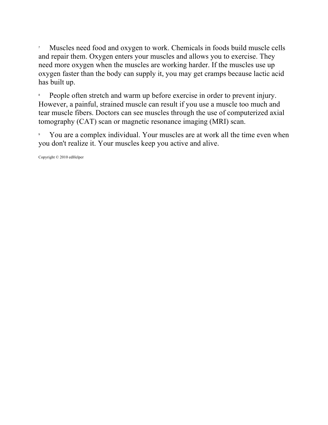7 Muscles need food and oxygen to work. Chemicals in foods build muscle cells and repair them. Oxygen enters your muscles and allows you to exercise. They need more oxygen when the muscles are working harder. If the muscles use up oxygen faster than the body can supply it, you may get cramps because lactic acid has built up.

8 People often stretch and warm up before exercise in order to prevent injury. However, a painful, strained muscle can result if you use a muscle too much and tear muscle fibers. Doctors can see muscles through the use of computerized axial tomography (CAT) scan or magnetic resonance imaging (MRI) scan.

9 You are a complex individual. Your muscles are at work all the time even when you don't realize it. Your muscles keep you active and alive.

Copyright © 2010 edHelper